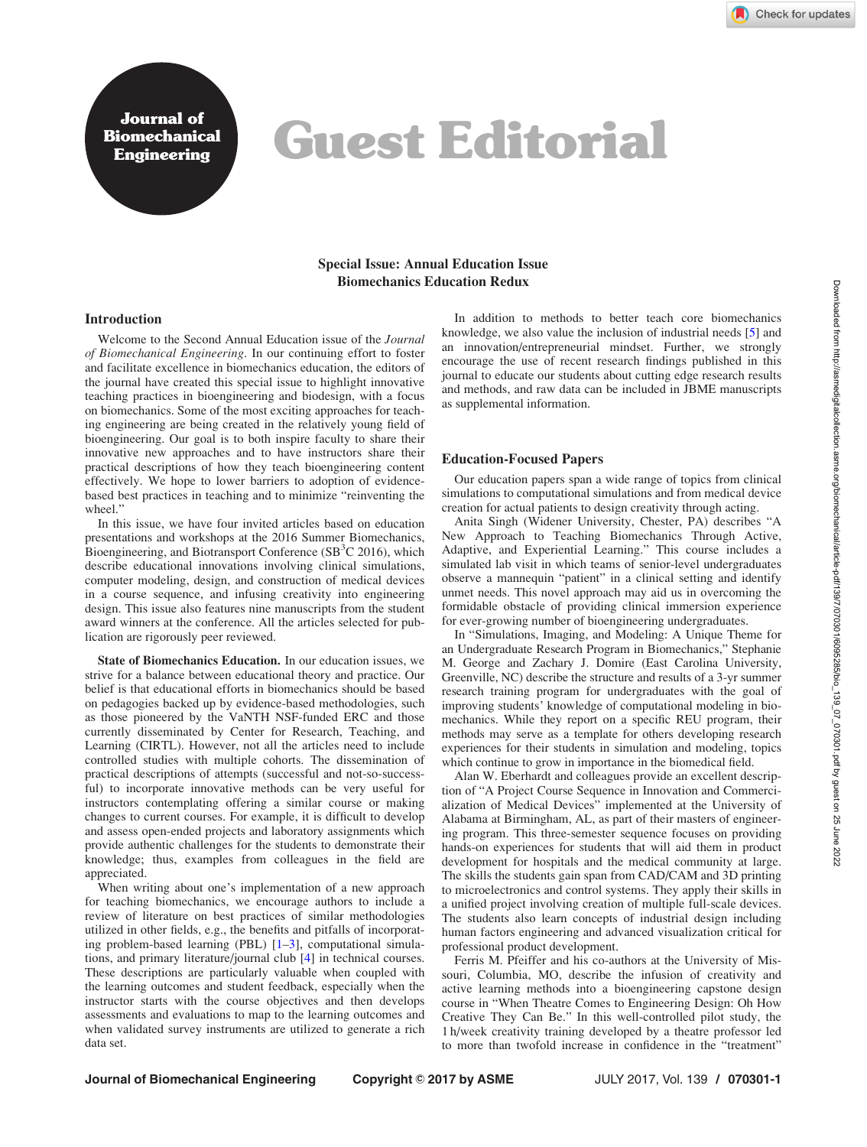Journal of Biomechanical

# Bournal vi<br>Engineering Guest Editorial

## Special Issue: Annual Education Issue Biomechanics Education Redux

#### Introduction

Welcome to the Second Annual Education issue of the Journal of Biomechanical Engineering. In our continuing effort to foster and facilitate excellence in biomechanics education, the editors of the journal have created this special issue to highlight innovative teaching practices in bioengineering and biodesign, with a focus on biomechanics. Some of the most exciting approaches for teaching engineering are being created in the relatively young field of bioengineering. Our goal is to both inspire faculty to share their innovative new approaches and to have instructors share their practical descriptions of how they teach bioengineering content effectively. We hope to lower barriers to adoption of evidencebased best practices in teaching and to minimize "reinventing the wheel."

In this issue, we have four invited articles based on education presentations and workshops at the 2016 Summer Biomechanics, Bioengineering, and Biotransport Conference (SB ${}^{3}$ C 2016), which describe educational innovations involving clinical simulations, computer modeling, design, and construction of medical devices in a course sequence, and infusing creativity into engineering design. This issue also features nine manuscripts from the student award winners at the conference. All the articles selected for publication are rigorously peer reviewed.

State of Biomechanics Education. In our education issues, we strive for a balance between educational theory and practice. Our belief is that educational efforts in biomechanics should be based on pedagogies backed up by evidence-based methodologies, such as those pioneered by the VaNTH NSF-funded ERC and those currently disseminated by Center for Research, Teaching, and Learning (CIRTL). However, not all the articles need to include controlled studies with multiple cohorts. The dissemination of practical descriptions of attempts (successful and not-so-successful) to incorporate innovative methods can be very useful for instructors contemplating offering a similar course or making changes to current courses. For example, it is difficult to develop and assess open-ended projects and laboratory assignments which provide authentic challenges for the students to demonstrate their knowledge; thus, examples from colleagues in the field are appreciated.

When writing about one's implementation of a new approach for teaching biomechanics, we encourage authors to include a review of literature on best practices of similar methodologies utilized in other fields, e.g., the benefits and pitfalls of incorporating problem-based learning (PBL) [\[1–3\]](#page-1-0), computational simulations, and primary literature/journal club [[4](#page-1-0)] in technical courses. These descriptions are particularly valuable when coupled with the learning outcomes and student feedback, especially when the instructor starts with the course objectives and then develops assessments and evaluations to map to the learning outcomes and when validated survey instruments are utilized to generate a rich data set.

In addition to methods to better teach core biomechanics knowledge, we also value the inclusion of industrial needs [\[5\]](#page-1-0) and an innovation/entrepreneurial mindset. Further, we strongly encourage the use of recent research findings published in this journal to educate our students about cutting edge research results and methods, and raw data can be included in JBME manuscripts as supplemental information.

### Education-Focused Papers

Our education papers span a wide range of topics from clinical simulations to computational simulations and from medical device creation for actual patients to design creativity through acting.

Anita Singh (Widener University, Chester, PA) describes "A New Approach to Teaching Biomechanics Through Active, Adaptive, and Experiential Learning." This course includes a simulated lab visit in which teams of senior-level undergraduates observe a mannequin "patient" in a clinical setting and identify unmet needs. This novel approach may aid us in overcoming the formidable obstacle of providing clinical immersion experience for ever-growing number of bioengineering undergraduates.

In "Simulations, Imaging, and Modeling: A Unique Theme for an Undergraduate Research Program in Biomechanics," Stephanie M. George and Zachary J. Domire (East Carolina University, Greenville, NC) describe the structure and results of a 3-yr summer research training program for undergraduates with the goal of improving students' knowledge of computational modeling in biomechanics. While they report on a specific REU program, their methods may serve as a template for others developing research experiences for their students in simulation and modeling, topics which continue to grow in importance in the biomedical field.

Alan W. Eberhardt and colleagues provide an excellent description of "A Project Course Sequence in Innovation and Commercialization of Medical Devices" implemented at the University of Alabama at Birmingham, AL, as part of their masters of engineering program. This three-semester sequence focuses on providing hands-on experiences for students that will aid them in product development for hospitals and the medical community at large. The skills the students gain span from CAD/CAM and 3D printing to microelectronics and control systems. They apply their skills in a unified project involving creation of multiple full-scale devices. The students also learn concepts of industrial design including human factors engineering and advanced visualization critical for professional product development.

Ferris M. Pfeiffer and his co-authors at the University of Missouri, Columbia, MO, describe the infusion of creativity and active learning methods into a bioengineering capstone design course in "When Theatre Comes to Engineering Design: Oh How Creative They Can Be." In this well-controlled pilot study, the 1 h/week creativity training developed by a theatre professor led to more than twofold increase in confidence in the "treatment"